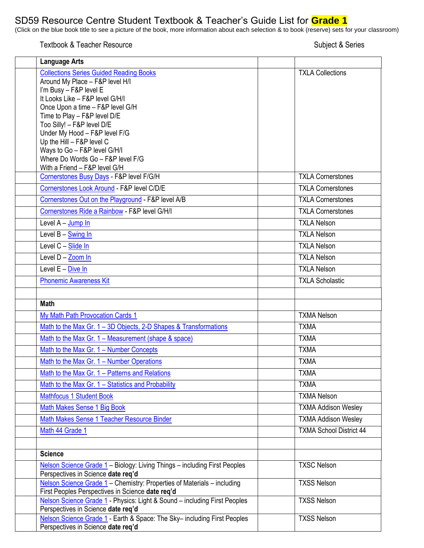## SD59 Resource Centre Student Textbook & Teacher's Guide List for **Grade 1**

(Click on the blue book title to see a picture of the book, more information about each selection & to book (reserve) sets for your classroom)

Textbook & Teacher Resource Subject & Series

| <b>Language Arts</b>                                                                                                        |                                |
|-----------------------------------------------------------------------------------------------------------------------------|--------------------------------|
| <b>Collections Series Guided Reading Books</b>                                                                              | <b>TXLA Collections</b>        |
| Around My Place - F&P level H/I                                                                                             |                                |
| I'm Busy - F&P level E                                                                                                      |                                |
| It Looks Like - F&P level G/H/I                                                                                             |                                |
| Once Upon a time - F&P level G/H                                                                                            |                                |
| Time to Play - F&P level D/E<br>Too Silly! - F&P level D/E                                                                  |                                |
| Under My Hood - F&P level F/G                                                                                               |                                |
| Up the Hill - F&P level C                                                                                                   |                                |
| Ways to Go - F&P level G/H/I                                                                                                |                                |
| Where Do Words Go - F&P level F/G                                                                                           |                                |
| With a Friend - F&P level G/H<br>Cornerstones Busy Days - F&P level F/G/H                                                   | <b>TXLA Cornerstones</b>       |
|                                                                                                                             |                                |
| Cornerstones Look Around - F&P level C/D/E                                                                                  | <b>TXLA Cornerstones</b>       |
| Cornerstones Out on the Playground - F&P level A/B                                                                          | <b>TXLA Cornerstones</b>       |
| Cornerstones Ride a Rainbow - F&P level G/H/I                                                                               | <b>TXLA Cornerstones</b>       |
| Level A - Jump In                                                                                                           | <b>TXLA Nelson</b>             |
| Level B - Swing In                                                                                                          | <b>TXLA Nelson</b>             |
| Level C - Slide In                                                                                                          | <b>TXLA Nelson</b>             |
| Level D - Zoom In                                                                                                           | <b>TXLA Nelson</b>             |
| Level E - Dive In                                                                                                           | <b>TXLA Nelson</b>             |
| <b>Phonemic Awareness Kit</b>                                                                                               | <b>TXLA Scholastic</b>         |
|                                                                                                                             |                                |
| <b>Math</b>                                                                                                                 |                                |
| <b>My Math Path Provocation Cards 1</b>                                                                                     | <b>TXMA Nelson</b>             |
| Math to the Max Gr. 1 - 3D Objects, 2-D Shapes & Transformations                                                            | <b>TXMA</b>                    |
| Math to the Max Gr. 1 - Measurement (shape & space)                                                                         | <b>TXMA</b>                    |
| Math to the Max Gr. 1 - Number Concepts                                                                                     | <b>TXMA</b>                    |
| Math to the Max Gr. 1 - Number Operations                                                                                   | <b>TXMA</b>                    |
| Math to the Max Gr. 1 - Patterns and Relations                                                                              | <b>TXMA</b>                    |
| Math to the Max Gr. 1 – Statistics and Probability                                                                          | <b>TXMA</b>                    |
| <b>Mathfocus 1 Student Book</b>                                                                                             | <b>TXMA Nelson</b>             |
| Math Makes Sense 1 Big Book                                                                                                 | <b>TXMA Addison Wesley</b>     |
| Math Makes Sense 1 Teacher Resource Binder                                                                                  | <b>TXMA Addison Wesley</b>     |
| Math 44 Grade 1                                                                                                             | <b>TXMA School District 44</b> |
|                                                                                                                             |                                |
| <b>Science</b>                                                                                                              |                                |
| Nelson Science Grade 1 - Biology: Living Things - including First Peoples<br>Perspectives in Science date req'd             | <b>TXSC Nelson</b>             |
| Nelson Science Grade 1 - Chemistry: Properties of Materials - including<br>First Peoples Perspectives in Science date req'd | <b>TXSS Nelson</b>             |
| Nelson Science Grade 1 - Physics: Light & Sound - including First Peoples<br>Perspectives in Science date req'd             | <b>TXSS Nelson</b>             |
| Nelson Science Grade 1 - Earth & Space: The Sky- including First Peoples<br>Perspectives in Science date req'd              | <b>TXSS Nelson</b>             |